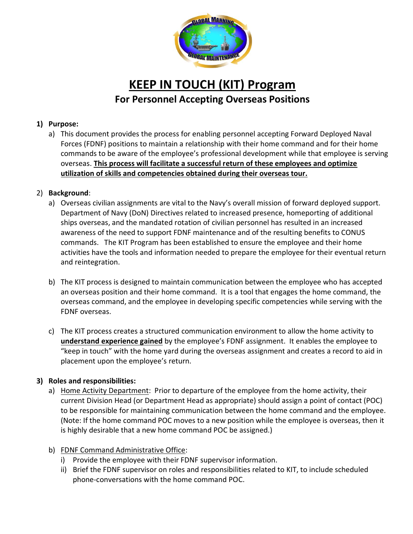

# **KEEP IN TOUCH (KIT) Program For Personnel Accepting Overseas Positions**

## **1) Purpose:**

a) This document provides the process for enabling personnel accepting Forward Deployed Naval Forces (FDNF) positions to maintain a relationship with their home command and for their home commands to be aware of the employee's professional development while that employee is serving overseas. **This process will facilitate a successful return of these employees and optimize utilization of skills and competencies obtained during their overseas tour.**

### 2) **Background**:

- a) Overseas civilian assignments are vital to the Navy's overall mission of forward deployed support. Department of Navy (DoN) Directives related to increased presence, homeporting of additional ships overseas, and the mandated rotation of civilian personnel has resulted in an increased awareness of the need to support FDNF maintenance and of the resulting benefits to CONUS commands. The KIT Program has been established to ensure the employee and their home activities have the tools and information needed to prepare the employee for their eventual return and reintegration.
- b) The KIT process is designed to maintain communication between the employee who has accepted an overseas position and their home command. It is a tool that engages the home command, the overseas command, and the employee in developing specific competencies while serving with the FDNF overseas.
- c) The KIT process creates a structured communication environment to allow the home activity to **understand experience gained** by the employee's FDNF assignment. It enables the employee to "keep in touch" with the home yard during the overseas assignment and creates a record to aid in placement upon the employee's return.

### **3) Roles and responsibilities:**

- a) Home Activity Department: Prior to departure of the employee from the home activity, their current Division Head (or Department Head as appropriate) should assign a point of contact (POC) to be responsible for maintaining communication between the home command and the employee. (Note: If the home command POC moves to a new position while the employee is overseas, then it is highly desirable that a new home command POC be assigned.)
- b) FDNF Command Administrative Office:
	- i) Provide the employee with their FDNF supervisor information.
	- ii) Brief the FDNF supervisor on roles and responsibilities related to KIT, to include scheduled phone-conversations with the home command POC.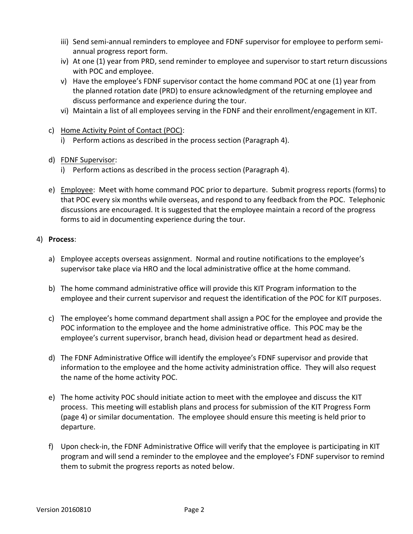- iii) Send semi-annual reminders to employee and FDNF supervisor for employee to perform semiannual progress report form.
- iv) At one (1) year from PRD, send reminder to employee and supervisor to start return discussions with POC and employee.
- v) Have the employee's FDNF supervisor contact the home command POC at one (1) year from the planned rotation date (PRD) to ensure acknowledgment of the returning employee and discuss performance and experience during the tour.
- vi) Maintain a list of all employees serving in the FDNF and their enrollment/engagement in KIT.
- c) Home Activity Point of Contact (POC):
	- i) Perform actions as described in the process section (Paragraph 4).
- d) FDNF Supervisor:
	- i) Perform actions as described in the process section (Paragraph 4).
- e) Employee: Meet with home command POC prior to departure. Submit progress reports (forms) to that POC every six months while overseas, and respond to any feedback from the POC. Telephonic discussions are encouraged. It is suggested that the employee maintain a record of the progress forms to aid in documenting experience during the tour.

#### 4) **Process**:

- a) Employee accepts overseas assignment. Normal and routine notifications to the employee's supervisor take place via HRO and the local administrative office at the home command.
- b) The home command administrative office will provide this KIT Program information to the employee and their current supervisor and request the identification of the POC for KIT purposes.
- c) The employee's home command department shall assign a POC for the employee and provide the POC information to the employee and the home administrative office. This POC may be the employee's current supervisor, branch head, division head or department head as desired.
- d) The FDNF Administrative Office will identify the employee's FDNF supervisor and provide that information to the employee and the home activity administration office. They will also request the name of the home activity POC.
- e) The home activity POC should initiate action to meet with the employee and discuss the KIT process. This meeting will establish plans and process for submission of the KIT Progress Form (page 4) or similar documentation. The employee should ensure this meeting is held prior to departure.
- f) Upon check-in, the FDNF Administrative Office will verify that the employee is participating in KIT program and will send a reminder to the employee and the employee's FDNF supervisor to remind them to submit the progress reports as noted below.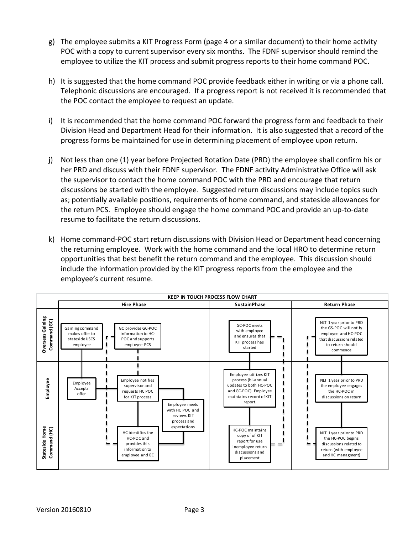- g) The employee submits a KIT Progress Form (page 4 or a similar document) to their home activity POC with a copy to current supervisor every six months. The FDNF supervisor should remind the employee to utilize the KIT process and submit progress reports to their home command POC.
- h) It is suggested that the home command POC provide feedback either in writing or via a phone call. Telephonic discussions are encouraged. If a progress report is not received it is recommended that the POC contact the employee to request an update.
- i) It is recommended that the home command POC forward the progress form and feedback to their Division Head and Department Head for their information. It is also suggested that a record of the progress forms be maintained for use in determining placement of employee upon return.
- j) Not less than one (1) year before Projected Rotation Date (PRD) the employee shall confirm his or her PRD and discuss with their FDNF supervisor. The FDNF activity Administrative Office will ask the supervisor to contact the home command POC with the PRD and encourage that return discussions be started with the employee. Suggested return discussions may include topics such as; potentially available positions, requirements of home command, and stateside allowances for the return PCS. Employee should engage the home command POC and provide an up-to-date resume to facilitate the return discussions.
- k) Home command-POC start return discussions with Division Head or Department head concerning the returning employee. Work with the home command and the local HRO to determine return opportunities that best benefit the return command and the employee. This discussion should include the information provided by the KIT progress reports from the employee and the employee's current resume.